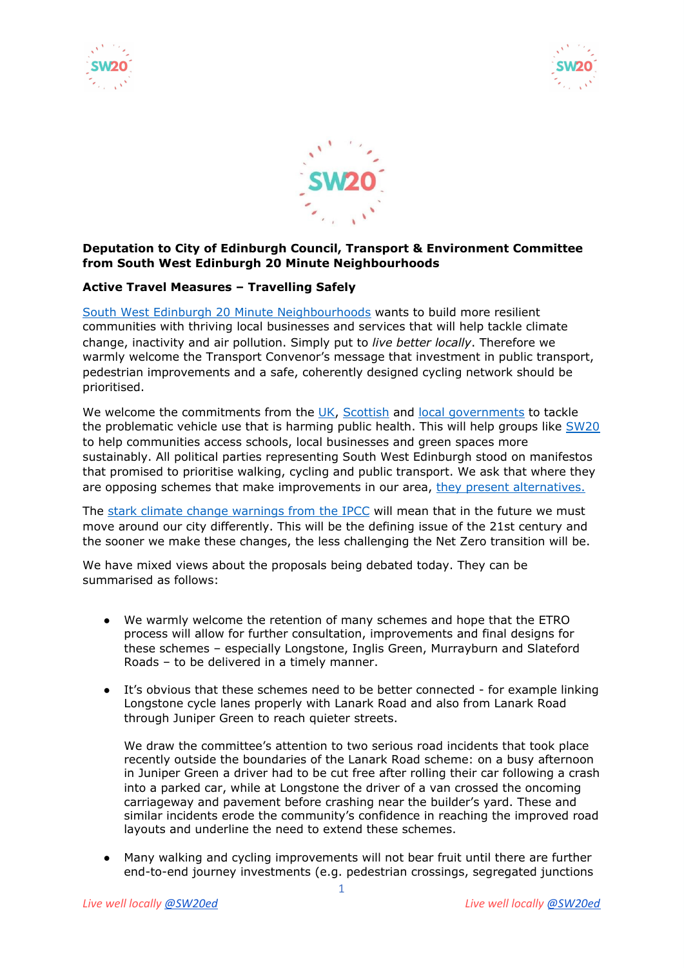





## **Deputation to City of Edinburgh Council, Transport & Environment Committee from South West Edinburgh 20 Minute Neighbourhoods**

## **Active Travel Measures – Travelling Safely**

South West Edinburgh 20 Minute [Neighbourhoods](https://hellosw20.wixsite.com/sw20ed) wants to build more resilient communities with thriving local businesses and services that will help tackle climate change, inactivity and air pollution. Simply put to *live better locally*. Therefore we warmly welcome the Transport Convenor's message that investment in public transport, pedestrian improvements and a safe, coherently designed cycling network should be prioritised.

We welcome the commitments from the [UK,](https://www.forbes.com/sites/carltonreid/2021/02/03/half-of-all-urban-journeys-must-be-cycled-or-walked-within-ten-years-confirms-uk-government/?sh=29eee6af551a) [Scottish](https://www.transport.gov.scot/publication/active-travel-framework-1/key-policy-approaches-to-improving-the-uptake-of-walking-and-cycling-in-scotland-for-travel/) and local [governments](https://www.edinburgh.gov.uk/city-mobility-plan-1) to tackle the problematic vehicle use that is harming public health. This will help groups like [SW20](https://twitter.com/sw20ed) to help communities access schools, local businesses and green spaces more sustainably. All political parties representing South West Edinburgh stood on manifestos that promised to prioritise walking, cycling and public transport. We ask that where they are opposing schemes that make improvements in our area, they present [alternatives.](https://twitter.com/mragilligan/status/1421080046693912579?s=20)

The stark climate change [warnings](https://www.ipcc.ch/sr15/) from the IPCC will mean that in the future we must move around our city differently. This will be the defining issue of the 21st century and the sooner we make these changes, the less challenging the Net Zero transition will be.

We have mixed views about the proposals being debated today. They can be summarised as follows:

- We warmly welcome the retention of many schemes and hope that the ETRO process will allow for further consultation, improvements and final designs for these schemes – especially Longstone, Inglis Green, Murrayburn and Slateford Roads – to be delivered in a timely manner.
- It's obvious that these schemes need to be better connected for example linking Longstone cycle lanes properly with Lanark Road and also from Lanark Road through Juniper Green to reach quieter streets.

We draw the committee's attention to two serious road incidents that took place recently outside the boundaries of the Lanark Road scheme: on a busy afternoon in Juniper Green a driver had to be cut free after rolling their car following a crash into a parked car, while at Longstone the driver of a van crossed the oncoming carriageway and pavement before crashing near the builder's yard. These and similar incidents erode the community's confidence in reaching the improved road layouts and underline the need to extend these schemes.

● Many walking and cycling improvements will not bear fruit until there are further end-to-end journey investments (e.g. pedestrian crossings, segregated junctions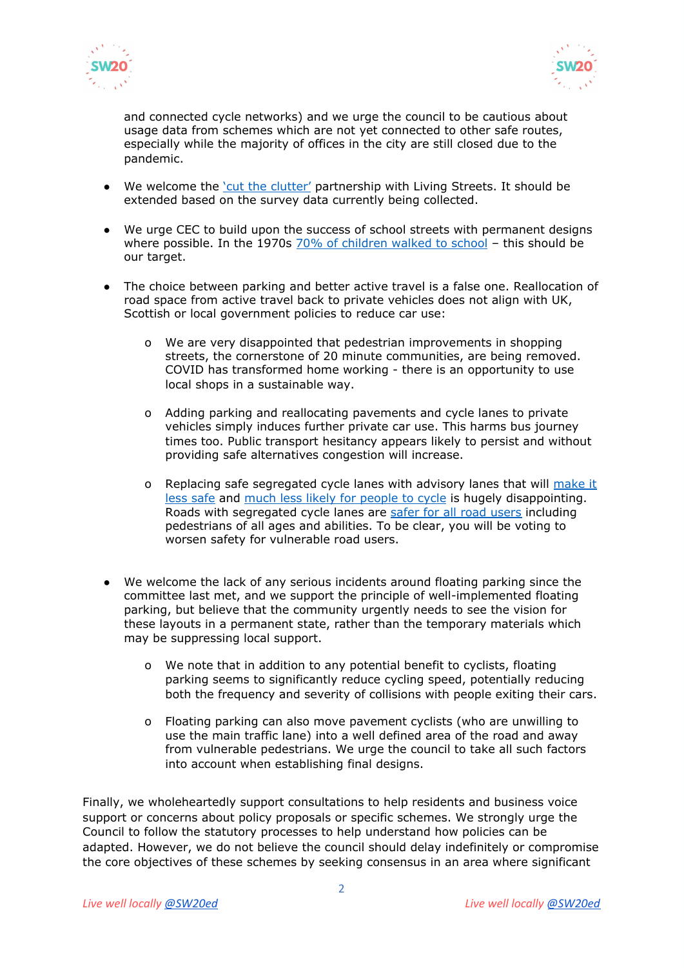



and connected cycle networks) and we urge the council to be cautious about usage data from schemes which are not yet connected to other safe routes, especially while the majority of offices in the city are still closed due to the pandemic.

- We welcome the 'cut the [clutter'](https://www.livingstreets.org.uk/news-and-blog/blog/edinburgh-living-streets-group-launches-cut-the-clutter) partnership with Living Streets. It should be extended based on the survey data currently being collected.
- We urge CEC to build upon the success of school streets with permanent designs where possible. In the 1970s 70% of [children](https://www.livingstreets.org.uk/news-and-blog/press-media/walk-to-school-rates-decline-to-the-lowest-level-ever) walked to school - this should be our target.
- The choice between parking and better active travel is a false one. Reallocation of road space from active travel back to private vehicles does not align with UK, Scottish or local government policies to reduce car use:
	- o We are very disappointed that pedestrian improvements in shopping streets, the cornerstone of 20 minute communities, are being removed. COVID has transformed home working - there is an opportunity to use local shops in a sustainable way.
	- o Adding parking and reallocating pavements and cycle lanes to private vehicles simply induces further private car use. This harms bus journey times too. Public transport hesitancy appears likely to persist and without providing safe alternatives congestion will increase.
	- o Replacing safe segregated cycle lanes with advisory lanes that will [make](https://findingspress.org/article/18226-cycling-injury-risk-in-london-impacts-of-road-characteristics-and-infrastructure) it less [safe](https://findingspress.org/article/18226-cycling-injury-risk-in-london-impacts-of-road-characteristics-and-infrastructure) and much less likely for [people](https://www.london.gov.uk/press-releases/mayoral/mayor-and-tfl-announce-work-on-four-new-routes) to cycle is hugely disappointing. Roads with segregated cycle lanes are safer for all road [users](https://www.sciencedaily.com/releases/2019/05/190529113036.htm) including pedestrians of all ages and abilities. To be clear, you will be voting to worsen safety for vulnerable road users.
- We welcome the lack of any serious incidents around floating parking since the committee last met, and we support the principle of well-implemented floating parking, but believe that the community urgently needs to see the vision for these layouts in a permanent state, rather than the temporary materials which may be suppressing local support.
	- o We note that in addition to any potential benefit to cyclists, floating parking seems to significantly reduce cycling speed, potentially reducing both the frequency and severity of collisions with people exiting their cars.
	- o Floating parking can also move pavement cyclists (who are unwilling to use the main traffic lane) into a well defined area of the road and away from vulnerable pedestrians. We urge the council to take all such factors into account when establishing final designs.

Finally, we wholeheartedly support consultations to help residents and business voice support or concerns about policy proposals or specific schemes. We strongly urge the Council to follow the statutory processes to help understand how policies can be adapted. However, we do not believe the council should delay indefinitely or compromise the core objectives of these schemes by seeking consensus in an area where significant